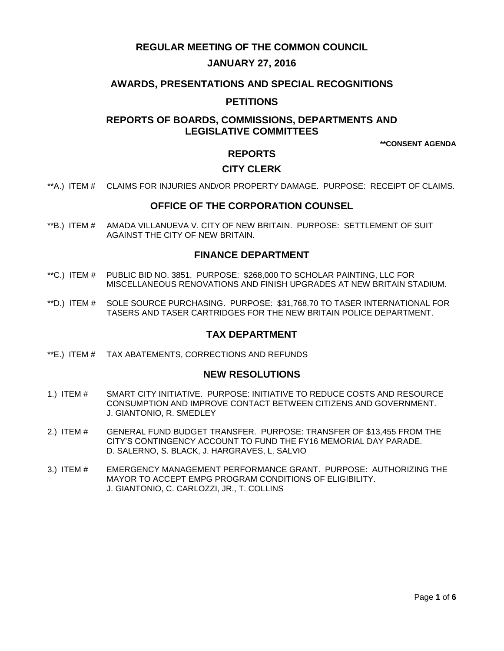# **REGULAR MEETING OF THE COMMON COUNCIL**

# **JANUARY 27, 2016**

## **AWARDS, PRESENTATIONS AND SPECIAL RECOGNITIONS**

## **PETITIONS**

# **REPORTS OF BOARDS, COMMISSIONS, DEPARTMENTS AND LEGISLATIVE COMMITTEES**

**\*\*CONSENT AGENDA**

# **REPORTS**

# **CITY CLERK**

\*\*A.) ITEM # [CLAIMS FOR INJURIES AND/OR PROPERTY DAMAGE. PURPOSE: RECEIPT OF CLAIMS.](#page-1-0)

### **OFFICE OF THE CORPORATION COUNSEL**

\*\*B.) ITEM # [AMADA VILLANUEVA V. CITY OF NEW BRITAIN. PURPOSE: SETTLEMENT OF SUIT](#page-1-1)  [AGAINST THE CITY OF NEW BRITAIN.](#page-1-1) 

### **FINANCE DEPARTMENT**

- \*\*C.) ITEM # [PUBLIC BID NO. 3851. PURPOSE: \\$268,000 TO SCHOLAR PAINTING, LLC FOR](#page-2-0)  [MISCELLANEOUS RENOVATIONS AND FINISH UPGRADES AT NEW BRITAIN STADIUM.](#page-2-0)
- \*\*D.) ITEM # [SOLE SOURCE PURCHASING. PURPOSE: \\$31,768.70 TO TASER INTERNATIONAL FOR](#page-3-0)  [TASERS AND TASER CARTRIDGES FOR THE NEW BRITAIN POLICE DEPARTMENT.](#page-3-0)

### **TAX DEPARTMENT**

\*\*E.) ITEM # [TAX ABATEMENTS, CORRECTIONS AND REFUNDS](#page-3-1)

#### **NEW RESOLUTIONS**

- 1.) ITEM # [SMART CITY INITIATIVE. PURPOSE: INITIATIVE TO REDUCE COSTS AND RESOURCE](#page-4-0)  [CONSUMPTION AND IMPROVE CONTACT BETWEEN CITIZENS AND GOVERNMENT.](#page-4-0)  [J. GIANTONIO, R. SMEDLEY](#page-4-0)
- 2.) ITEM # [GENERAL FUND BUDGET TRANSFER. PURPOSE: TRANSFER OF \\$13,455](#page-4-1) FROM THE [CITY'S CONTINGENCY ACCOUNT TO FUND THE FY16](#page-4-1) MEMORIAL DAY PARADE. [D. SALERNO, S. BLACK, J. HARGRAVES, L. SALVIO](#page-4-1)
- 3.) ITEM # [EMERGENCY MANAGEMENT PERFORMANCE GRANT. PURPOSE: AUTHORIZING THE](#page-5-0)  [MAYOR TO ACCEPT EMPG PROGRAM CONDITIONS OF ELIGIBILITY.](#page-5-0) [J. GIANTONIO, C. CARLOZZI, JR., T. COLLINS](#page-5-0)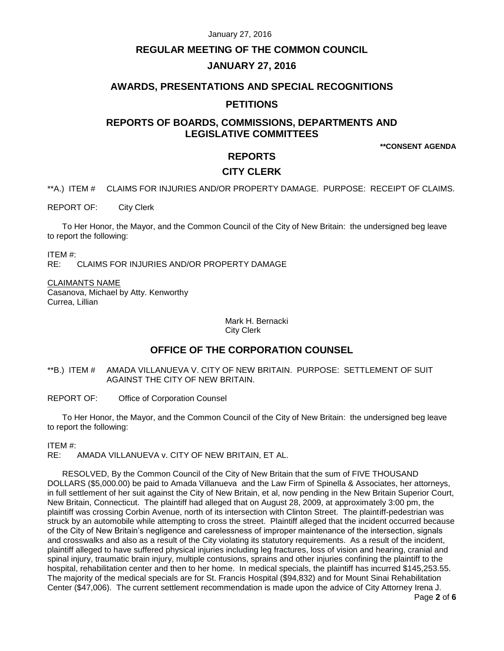#### January 27, 2016

## **REGULAR MEETING OF THE COMMON COUNCIL**

# **JANUARY 27, 2016**

## **AWARDS, PRESENTATIONS AND SPECIAL RECOGNITIONS**

## **PETITIONS**

# **REPORTS OF BOARDS, COMMISSIONS, DEPARTMENTS AND LEGISLATIVE COMMITTEES**

**\*\*CONSENT AGENDA**

# **REPORTS**

### **CITY CLERK**

<span id="page-1-0"></span>\*\*A.) ITEM # CLAIMS FOR INJURIES AND/OR PROPERTY DAMAGE. PURPOSE: RECEIPT OF CLAIMS.

REPORT OF: City Clerk

To Her Honor, the Mayor, and the Common Council of the City of New Britain: the undersigned beg leave to report the following:

ITEM #:

CLAIMS FOR INJURIES AND/OR PROPERTY DAMAGE

CLAIMANTS NAME Casanova, Michael by Atty. Kenworthy Currea, Lillian

> Mark H. Bernacki City Clerk

# **OFFICE OF THE CORPORATION COUNSEL**

<span id="page-1-1"></span>\*\*B.) ITEM # AMADA VILLANUEVA V. CITY OF NEW BRITAIN. PURPOSE: SETTLEMENT OF SUIT AGAINST THE CITY OF NEW BRITAIN.

REPORT OF: Office of Corporation Counsel

To Her Honor, the Mayor, and the Common Council of the City of New Britain: the undersigned beg leave to report the following:

ITEM #:

RE: AMADA VILLANUEVA v. CITY OF NEW BRITAIN, ET AL.

RESOLVED, By the Common Council of the City of New Britain that the sum of FIVE THOUSAND DOLLARS (\$5,000.00) be paid to Amada Villanueva and the Law Firm of Spinella & Associates, her attorneys, in full settlement of her suit against the City of New Britain, et al, now pending in the New Britain Superior Court, New Britain, Connecticut. The plaintiff had alleged that on August 28, 2009, at approximately 3:00 pm, the plaintiff was crossing Corbin Avenue, north of its intersection with Clinton Street. The plaintiff-pedestrian was struck by an automobile while attempting to cross the street. Plaintiff alleged that the incident occurred because of the City of New Britain's negligence and carelessness of improper maintenance of the intersection, signals and crosswalks and also as a result of the City violating its statutory requirements. As a result of the incident, plaintiff alleged to have suffered physical injuries including leg fractures, loss of vision and hearing, cranial and spinal injury, traumatic brain injury, multiple contusions, sprains and other injuries confining the plaintiff to the hospital, rehabilitation center and then to her home. In medical specials, the plaintiff has incurred \$145,253.55. The majority of the medical specials are for St. Francis Hospital (\$94,832) and for Mount Sinai Rehabilitation Center (\$47,006). The current settlement recommendation is made upon the advice of City Attorney Irena J.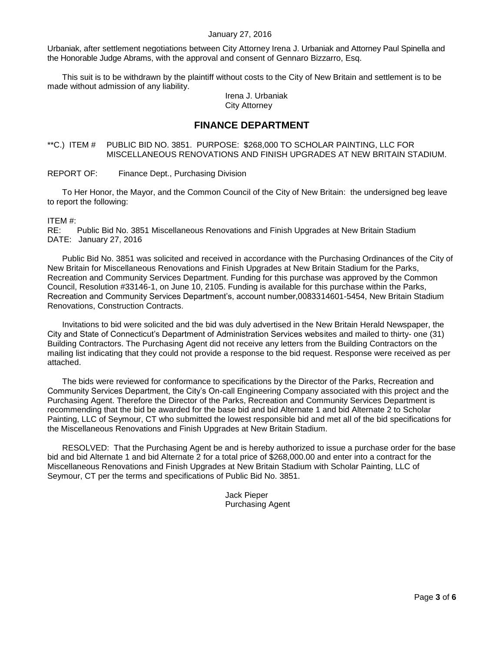#### January 27, 2016

Urbaniak, after settlement negotiations between City Attorney Irena J. Urbaniak and Attorney Paul Spinella and the Honorable Judge Abrams, with the approval and consent of Gennaro Bizzarro, Esq.

This suit is to be withdrawn by the plaintiff without costs to the City of New Britain and settlement is to be made without admission of any liability.

Irena J. Urbaniak City Attorney

## **FINANCE DEPARTMENT**

#### <span id="page-2-0"></span>\*\*C.) ITEM # PUBLIC BID NO. 3851. PURPOSE: \$268,000 TO SCHOLAR PAINTING, LLC FOR MISCELLANEOUS RENOVATIONS AND FINISH UPGRADES AT NEW BRITAIN STADIUM.

REPORT OF: Finance Dept., Purchasing Division

To Her Honor, the Mayor, and the Common Council of the City of New Britain: the undersigned beg leave to report the following:

ITEM #:

RE: Public Bid No. 3851 Miscellaneous Renovations and Finish Upgrades at New Britain Stadium DATE: January 27, 2016

Public Bid No. 3851 was solicited and received in accordance with the Purchasing Ordinances of the City of New Britain for Miscellaneous Renovations and Finish Upgrades at New Britain Stadium for the Parks, Recreation and Community Services Department. Funding for this purchase was approved by the Common Council, Resolution #33146-1, on June 10, 2105. Funding is available for this purchase within the Parks, Recreation and Community Services Department's, account number,0083314601-5454, New Britain Stadium Renovations, Construction Contracts.

Invitations to bid were solicited and the bid was duly advertised in the New Britain Herald Newspaper, the City and State of Connecticut's Department of Administration Services websites and mailed to thirty- one (31) Building Contractors. The Purchasing Agent did not receive any letters from the Building Contractors on the mailing list indicating that they could not provide a response to the bid request. Response were received as per attached.

The bids were reviewed for conformance to specifications by the Director of the Parks, Recreation and Community Services Department, the City's On-call Engineering Company associated with this project and the Purchasing Agent. Therefore the Director of the Parks, Recreation and Community Services Department is recommending that the bid be awarded for the base bid and bid Alternate 1 and bid Alternate 2 to Scholar Painting, LLC of Seymour, CT who submitted the lowest responsible bid and met all of the bid specifications for the Miscellaneous Renovations and Finish Upgrades at New Britain Stadium.

RESOLVED: That the Purchasing Agent be and is hereby authorized to issue a purchase order for the base bid and bid Alternate 1 and bid Alternate 2 for a total price of \$268,000.00 and enter into a contract for the Miscellaneous Renovations and Finish Upgrades at New Britain Stadium with Scholar Painting, LLC of Seymour, CT per the terms and specifications of Public Bid No. 3851.

> Jack Pieper Purchasing Agent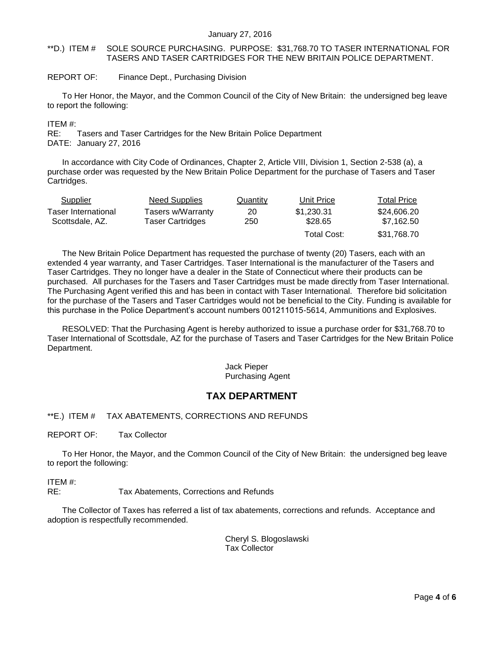#### <span id="page-3-0"></span>\*\*D.) ITEM # SOLE SOURCE PURCHASING. PURPOSE: \$31,768.70 TO TASER INTERNATIONAL FOR TASERS AND TASER CARTRIDGES FOR THE NEW BRITAIN POLICE DEPARTMENT.

#### REPORT OF: Finance Dept., Purchasing Division

To Her Honor, the Mayor, and the Common Council of the City of New Britain: the undersigned beg leave to report the following:

ITEM #:

RE: Tasers and Taser Cartridges for the New Britain Police Department

DATE: January 27, 2016

In accordance with City Code of Ordinances, Chapter 2, Article VIII, Division 1, Section 2-538 (a), a purchase order was requested by the New Britain Police Department for the purchase of Tasers and Taser Cartridges.

| Supplier            | Need Supplies     | Quantity | Unit Price  | <b>Total Price</b> |  |
|---------------------|-------------------|----------|-------------|--------------------|--|
| Taser International | Tasers w/Warranty | 20       | \$1.230.31  | \$24,606.20        |  |
| Scottsdale, AZ.     | Taser Cartridges  | 250      | \$28.65     | \$7,162.50         |  |
|                     |                   |          | Total Cost: | \$31,768.70        |  |

The New Britain Police Department has requested the purchase of twenty (20) Tasers, each with an extended 4 year warranty, and Taser Cartridges. Taser International is the manufacturer of the Tasers and Taser Cartridges. They no longer have a dealer in the State of Connecticut where their products can be purchased. All purchases for the Tasers and Taser Cartridges must be made directly from Taser International. The Purchasing Agent verified this and has been in contact with Taser International. Therefore bid solicitation for the purchase of the Tasers and Taser Cartridges would not be beneficial to the City. Funding is available for this purchase in the Police Department's account numbers 001211015-5614, Ammunitions and Explosives.

RESOLVED: That the Purchasing Agent is hereby authorized to issue a purchase order for \$31,768.70 to Taser International of Scottsdale, AZ for the purchase of Tasers and Taser Cartridges for the New Britain Police Department.

#### Jack Pieper Purchasing Agent

# **TAX DEPARTMENT**

### <span id="page-3-1"></span>\*\*E.) ITEM # TAX ABATEMENTS, CORRECTIONS AND REFUNDS

REPORT OF: Tax Collector

To Her Honor, the Mayor, and the Common Council of the City of New Britain: the undersigned beg leave to report the following:

ITEM #:

RE: Tax Abatements, Corrections and Refunds

The Collector of Taxes has referred a list of tax abatements, corrections and refunds. Acceptance and adoption is respectfully recommended.

> Cheryl S. Blogoslawski Tax Collector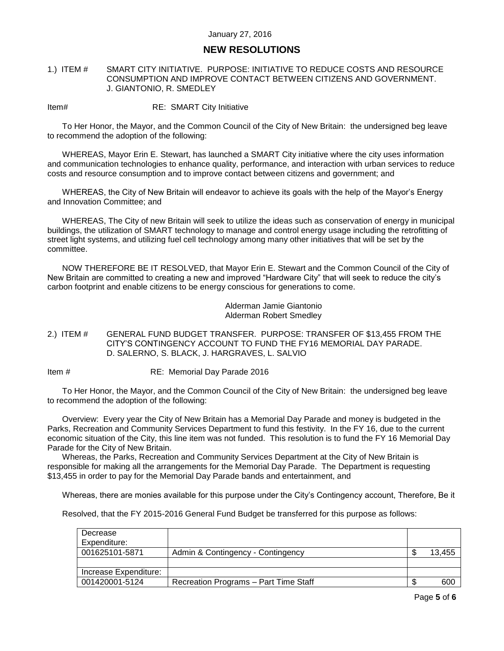# **NEW RESOLUTIONS**

#### <span id="page-4-0"></span>1.) ITEM # SMART CITY INITIATIVE. PURPOSE: INITIATIVE TO REDUCE COSTS AND RESOURCE CONSUMPTION AND IMPROVE CONTACT BETWEEN CITIZENS AND GOVERNMENT. J. GIANTONIO, R. SMEDLEY

Item# RE: SMART City Initiative

To Her Honor, the Mayor, and the Common Council of the City of New Britain: the undersigned beg leave to recommend the adoption of the following:

WHEREAS, Mayor Erin E. Stewart, has launched a SMART City initiative where the city uses information and communication technologies to enhance quality, performance, and interaction with urban services to reduce costs and resource consumption and to improve contact between citizens and government; and

WHEREAS, the City of New Britain will endeavor to achieve its goals with the help of the Mayor's Energy and Innovation Committee; and

WHEREAS, The City of new Britain will seek to utilize the ideas such as conservation of energy in municipal buildings, the utilization of SMART technology to manage and control energy usage including the retrofitting of street light systems, and utilizing fuel cell technology among many other initiatives that will be set by the committee.

NOW THEREFORE BE IT RESOLVED, that Mayor Erin E. Stewart and the Common Council of the City of New Britain are committed to creating a new and improved "Hardware City" that will seek to reduce the city's carbon footprint and enable citizens to be energy conscious for generations to come.

> Alderman Jamie Giantonio Alderman Robert Smedley

<span id="page-4-1"></span>2.) ITEM # GENERAL FUND BUDGET TRANSFER. PURPOSE: TRANSFER OF \$13,455 FROM THE CITY'S CONTINGENCY ACCOUNT TO FUND THE FY16 MEMORIAL DAY PARADE. D. SALERNO, S. BLACK, J. HARGRAVES, L. SALVIO

Item # RE: Memorial Day Parade 2016

To Her Honor, the Mayor, and the Common Council of the City of New Britain: the undersigned beg leave to recommend the adoption of the following:

Overview: Every year the City of New Britain has a Memorial Day Parade and money is budgeted in the Parks, Recreation and Community Services Department to fund this festivity. In the FY 16, due to the current economic situation of the City, this line item was not funded. This resolution is to fund the FY 16 Memorial Day Parade for the City of New Britain.

Whereas, the Parks, Recreation and Community Services Department at the City of New Britain is responsible for making all the arrangements for the Memorial Day Parade. The Department is requesting \$13,455 in order to pay for the Memorial Day Parade bands and entertainment, and

Whereas, there are monies available for this purpose under the City's Contingency account, Therefore, Be it

Resolved, that the FY 2015-2016 General Fund Budget be transferred for this purpose as follows:

| Decrease              |                                       |    |        |
|-----------------------|---------------------------------------|----|--------|
| Expenditure:          |                                       |    |        |
| 001625101-5871        | Admin & Contingency - Contingency     | ۰D | 13,455 |
|                       |                                       |    |        |
| Increase Expenditure: |                                       |    |        |
| 001420001-5124        | Recreation Programs - Part Time Staff |    | 600    |